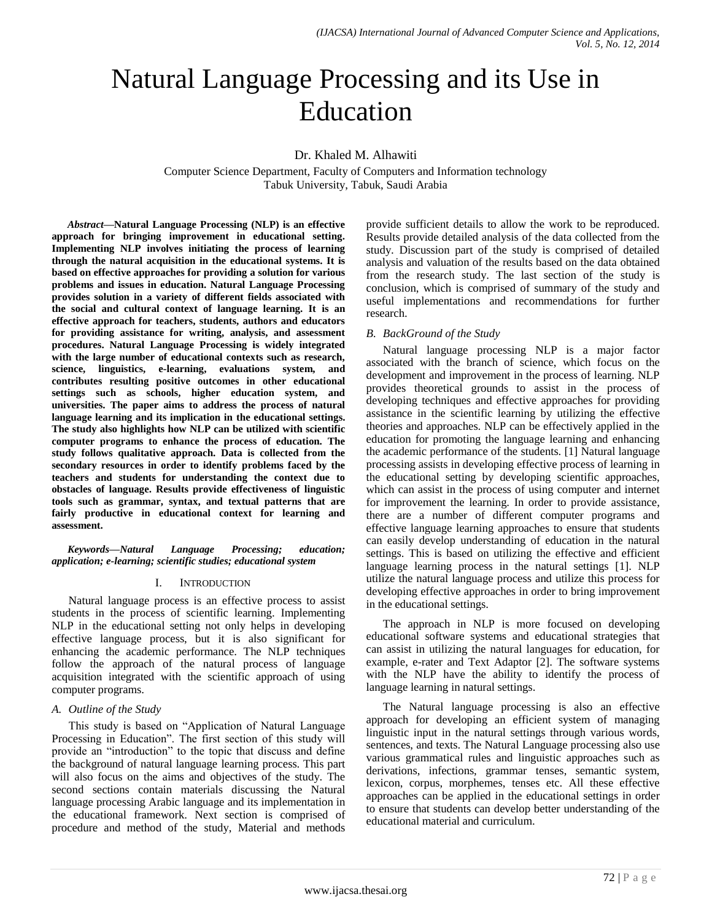# Natural Language Processing and its Use in Education

Dr. Khaled M. Alhawiti

Computer Science Department, Faculty of Computers and Information technology Tabuk University, Tabuk, Saudi Arabia

*Abstract***—Natural Language Processing (NLP) is an effective approach for bringing improvement in educational setting. Implementing NLP involves initiating the process of learning through the natural acquisition in the educational systems. It is based on effective approaches for providing a solution for various problems and issues in education. Natural Language Processing provides solution in a variety of different fields associated with the social and cultural context of language learning. It is an effective approach for teachers, students, authors and educators for providing assistance for writing, analysis, and assessment procedures. Natural Language Processing is widely integrated with the large number of educational contexts such as research, science, linguistics, e-learning, evaluations system, and contributes resulting positive outcomes in other educational settings such as schools, higher education system, and universities. The paper aims to address the process of natural language learning and its implication in the educational settings. The study also highlights how NLP can be utilized with scientific computer programs to enhance the process of education. The study follows qualitative approach. Data is collected from the secondary resources in order to identify problems faced by the teachers and students for understanding the context due to obstacles of language. Results provide effectiveness of linguistic tools such as grammar, syntax, and textual patterns that are fairly productive in educational context for learning and assessment.**

*Keywords—Natural Language Processing; education; application; e-learning; scientific studies; educational system*

### I. INTRODUCTION

Natural language process is an effective process to assist students in the process of scientific learning. Implementing NLP in the educational setting not only helps in developing effective language process, but it is also significant for enhancing the academic performance. The NLP techniques follow the approach of the natural process of language acquisition integrated with the scientific approach of using computer programs.

### *A. Outline of the Study*

This study is based on "Application of Natural Language Processing in Education". The first section of this study will provide an "introduction" to the topic that discuss and define the background of natural language learning process. This part will also focus on the aims and objectives of the study. The second sections contain materials discussing the Natural language processing Arabic language and its implementation in the educational framework. Next section is comprised of procedure and method of the study, Material and methods

provide sufficient details to allow the work to be reproduced. Results provide detailed analysis of the data collected from the study. Discussion part of the study is comprised of detailed analysis and valuation of the results based on the data obtained from the research study. The last section of the study is conclusion, which is comprised of summary of the study and useful implementations and recommendations for further research.

## *B. BackGround of the Study*

Natural language processing NLP is a major factor associated with the branch of science, which focus on the development and improvement in the process of learning. NLP provides theoretical grounds to assist in the process of developing techniques and effective approaches for providing assistance in the scientific learning by utilizing the effective theories and approaches. NLP can be effectively applied in the education for promoting the language learning and enhancing the academic performance of the students. [1] Natural language processing assists in developing effective process of learning in the educational setting by developing scientific approaches, which can assist in the process of using computer and internet for improvement the learning. In order to provide assistance, there are a number of different computer programs and effective language learning approaches to ensure that students can easily develop understanding of education in the natural settings. This is based on utilizing the effective and efficient language learning process in the natural settings [1]. NLP utilize the natural language process and utilize this process for developing effective approaches in order to bring improvement in the educational settings.

The approach in NLP is more focused on developing educational software systems and educational strategies that can assist in utilizing the natural languages for education, for example, e-rater and Text Adaptor [2]. The software systems with the NLP have the ability to identify the process of language learning in natural settings.

The Natural language processing is also an effective approach for developing an efficient system of managing linguistic input in the natural settings through various words, sentences, and texts. The Natural Language processing also use various grammatical rules and linguistic approaches such as derivations, infections, grammar tenses, semantic system, lexicon, corpus, morphemes, tenses etc. All these effective approaches can be applied in the educational settings in order to ensure that students can develop better understanding of the educational material and curriculum.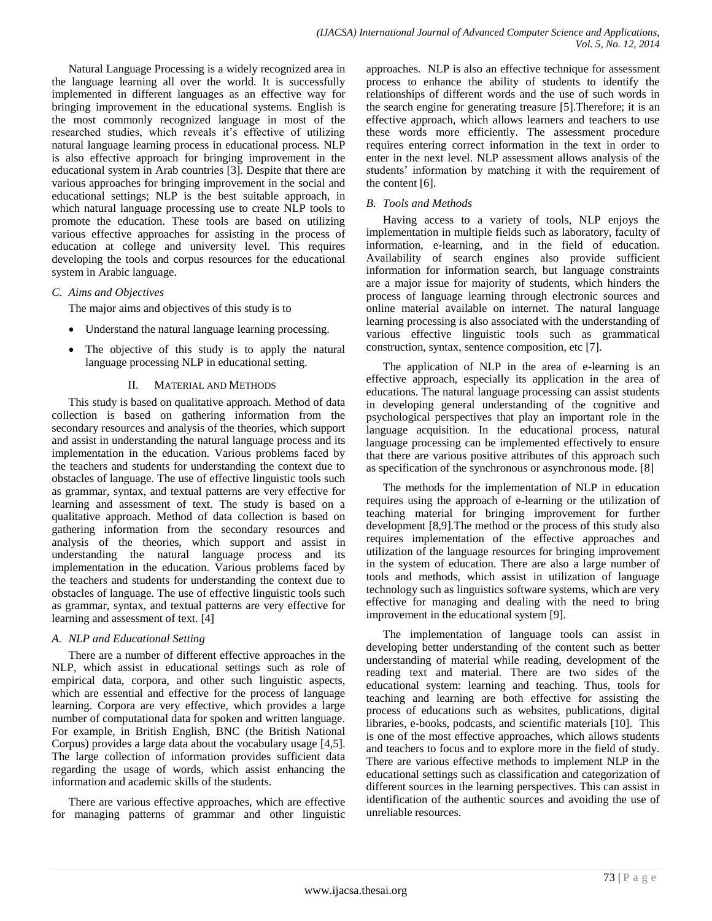Natural Language Processing is a widely recognized area in the language learning all over the world. It is successfully implemented in different languages as an effective way for bringing improvement in the educational systems. English is the most commonly recognized language in most of the researched studies, which reveals it's effective of utilizing natural language learning process in educational process. NLP is also effective approach for bringing improvement in the educational system in Arab countries [3]. Despite that there are various approaches for bringing improvement in the social and educational settings; NLP is the best suitable approach, in which natural language processing use to create NLP tools to promote the education. These tools are based on utilizing various effective approaches for assisting in the process of education at college and university level. This requires developing the tools and corpus resources for the educational system in Arabic language.

### *C. Aims and Objectives*

The major aims and objectives of this study is to

- Understand the natural language learning processing.
- The objective of this study is to apply the natural language processing NLP in educational setting.

#### II. MATERIAL AND METHODS

This study is based on qualitative approach. Method of data collection is based on gathering information from the secondary resources and analysis of the theories, which support and assist in understanding the natural language process and its implementation in the education. Various problems faced by the teachers and students for understanding the context due to obstacles of language. The use of effective linguistic tools such as grammar, syntax, and textual patterns are very effective for learning and assessment of text. The study is based on a qualitative approach. Method of data collection is based on gathering information from the secondary resources and analysis of the theories, which support and assist in understanding the natural language process and its implementation in the education. Various problems faced by the teachers and students for understanding the context due to obstacles of language. The use of effective linguistic tools such as grammar, syntax, and textual patterns are very effective for learning and assessment of text. [4]

### *A. NLP and Educational Setting*

There are a number of different effective approaches in the NLP, which assist in educational settings such as role of empirical data, corpora, and other such linguistic aspects, which are essential and effective for the process of language learning. Corpora are very effective, which provides a large number of computational data for spoken and written language. For example, in British English, BNC (the British National Corpus) provides a large data about the vocabulary usage [4,5]. The large collection of information provides sufficient data regarding the usage of words, which assist enhancing the information and academic skills of the students.

There are various effective approaches, which are effective for managing patterns of grammar and other linguistic approaches. NLP is also an effective technique for assessment process to enhance the ability of students to identify the relationships of different words and the use of such words in the search engine for generating treasure [5].Therefore; it is an effective approach, which allows learners and teachers to use these words more efficiently. The assessment procedure requires entering correct information in the text in order to enter in the next level. NLP assessment allows analysis of the students' information by matching it with the requirement of the content [6].

#### *B. Tools and Methods*

Having access to a variety of tools, NLP enjoys the implementation in multiple fields such as laboratory, faculty of information, e-learning, and in the field of education. Availability of search engines also provide sufficient information for information search, but language constraints are a major issue for majority of students, which hinders the process of language learning through electronic sources and online material available on internet. The natural language learning processing is also associated with the understanding of various effective linguistic tools such as grammatical construction, syntax, sentence composition, etc [7].

The application of NLP in the area of e-learning is an effective approach, especially its application in the area of educations. The natural language processing can assist students in developing general understanding of the cognitive and psychological perspectives that play an important role in the language acquisition. In the educational process, natural language processing can be implemented effectively to ensure that there are various positive attributes of this approach such as specification of the synchronous or asynchronous mode. [8]

The methods for the implementation of NLP in education requires using the approach of e-learning or the utilization of teaching material for bringing improvement for further development [8,9].The method or the process of this study also requires implementation of the effective approaches and utilization of the language resources for bringing improvement in the system of education. There are also a large number of tools and methods, which assist in utilization of language technology such as linguistics software systems, which are very effective for managing and dealing with the need to bring improvement in the educational system [9].

The implementation of language tools can assist in developing better understanding of the content such as better understanding of material while reading, development of the reading text and material. There are two sides of the educational system: learning and teaching. Thus, tools for teaching and learning are both effective for assisting the process of educations such as websites, publications, digital libraries, e-books, podcasts, and scientific materials [10]. This is one of the most effective approaches, which allows students and teachers to focus and to explore more in the field of study. There are various effective methods to implement NLP in the educational settings such as classification and categorization of different sources in the learning perspectives. This can assist in identification of the authentic sources and avoiding the use of unreliable resources.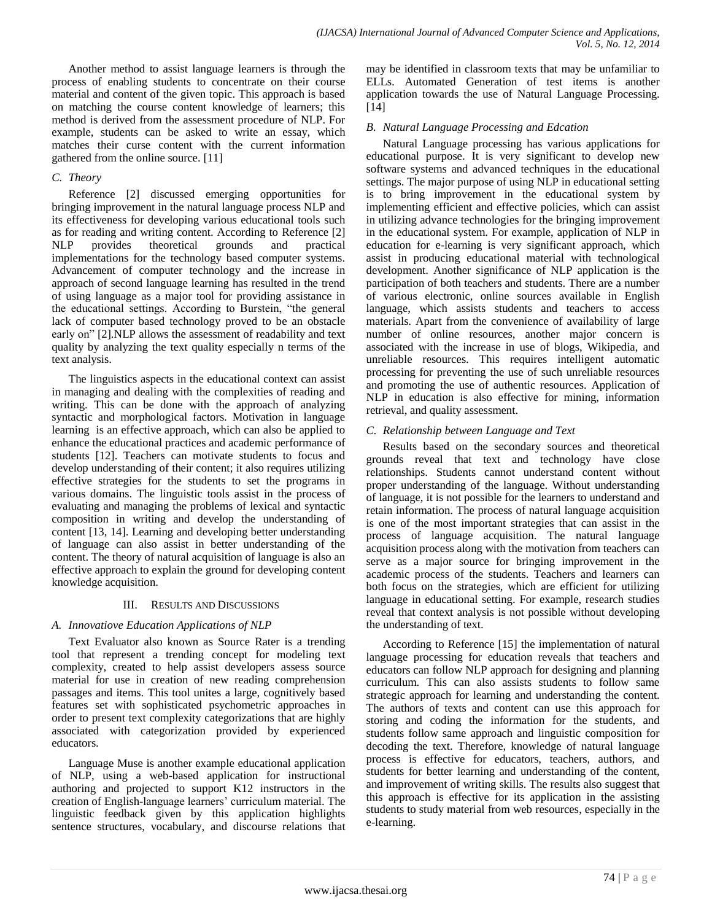Another method to assist language learners is through the process of enabling students to concentrate on their course material and content of the given topic. This approach is based on matching the course content knowledge of learners; this method is derived from the assessment procedure of NLP. For example, students can be asked to write an essay, which matches their curse content with the current information gathered from the online source. [11]

### *C. Theory*

Reference [2] discussed emerging opportunities for bringing improvement in the natural language process NLP and its effectiveness for developing various educational tools such as for reading and writing content. According to Reference [2] NLP provides theoretical grounds and practical implementations for the technology based computer systems. Advancement of computer technology and the increase in approach of second language learning has resulted in the trend of using language as a major tool for providing assistance in the educational settings. According to Burstein, "the general lack of computer based technology proved to be an obstacle early on" [2].NLP allows the assessment of readability and text quality by analyzing the text quality especially n terms of the text analysis.

The linguistics aspects in the educational context can assist in managing and dealing with the complexities of reading and writing. This can be done with the approach of analyzing syntactic and morphological factors. Motivation in language learning is an effective approach, which can also be applied to enhance the educational practices and academic performance of students [12]. Teachers can motivate students to focus and develop understanding of their content; it also requires utilizing effective strategies for the students to set the programs in various domains. The linguistic tools assist in the process of evaluating and managing the problems of lexical and syntactic composition in writing and develop the understanding of content [13, 14]. Learning and developing better understanding of language can also assist in better understanding of the content. The theory of natural acquisition of language is also an effective approach to explain the ground for developing content knowledge acquisition.

### III. RESULTS AND DISCUSSIONS

### *A. Innovatiove Education Applications of NLP*

Text Evaluator also known as Source Rater is a trending tool that represent a trending concept for modeling text complexity, created to help assist developers assess source material for use in creation of new reading comprehension passages and items. This tool unites a large, cognitively based features set with sophisticated psychometric approaches in order to present text complexity categorizations that are highly associated with categorization provided by experienced educators.

Language Muse is another example educational application of NLP, using a web-based application for instructional authoring and projected to support K12 instructors in the creation of English-language learners' curriculum material. The linguistic feedback given by this application highlights sentence structures, vocabulary, and discourse relations that

may be identified in classroom texts that may be unfamiliar to ELLs. Automated Generation of test items is another application towards the use of Natural Language Processing. [14]

#### *B. Natural Language Processing and Edcation*

Natural Language processing has various applications for educational purpose. It is very significant to develop new software systems and advanced techniques in the educational settings. The major purpose of using NLP in educational setting is to bring improvement in the educational system by implementing efficient and effective policies, which can assist in utilizing advance technologies for the bringing improvement in the educational system. For example, application of NLP in education for e-learning is very significant approach, which assist in producing educational material with technological development. Another significance of NLP application is the participation of both teachers and students. There are a number of various electronic, online sources available in English language, which assists students and teachers to access materials. Apart from the convenience of availability of large number of online resources, another major concern is associated with the increase in use of blogs, Wikipedia, and unreliable resources. This requires intelligent automatic processing for preventing the use of such unreliable resources and promoting the use of authentic resources. Application of NLP in education is also effective for mining, information retrieval, and quality assessment.

### *C. Relationship between Language and Text*

Results based on the secondary sources and theoretical grounds reveal that text and technology have close relationships. Students cannot understand content without proper understanding of the language. Without understanding of language, it is not possible for the learners to understand and retain information. The process of natural language acquisition is one of the most important strategies that can assist in the process of language acquisition. The natural language acquisition process along with the motivation from teachers can serve as a major source for bringing improvement in the academic process of the students. Teachers and learners can both focus on the strategies, which are efficient for utilizing language in educational setting. For example, research studies reveal that context analysis is not possible without developing the understanding of text.

According to Reference [15] the implementation of natural language processing for education reveals that teachers and educators can follow NLP approach for designing and planning curriculum. This can also assists students to follow same strategic approach for learning and understanding the content. The authors of texts and content can use this approach for storing and coding the information for the students, and students follow same approach and linguistic composition for decoding the text. Therefore, knowledge of natural language process is effective for educators, teachers, authors, and students for better learning and understanding of the content, and improvement of writing skills. The results also suggest that this approach is effective for its application in the assisting students to study material from web resources, especially in the e-learning.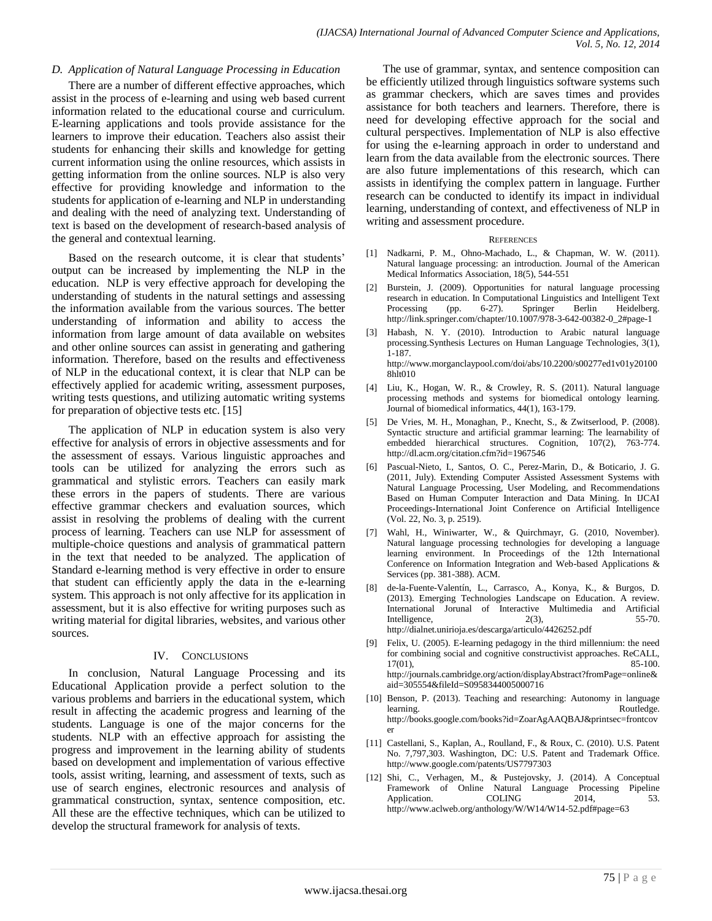#### *D. Application of Natural Language Processing in Education*

There are a number of different effective approaches, which assist in the process of e-learning and using web based current information related to the educational course and curriculum. E-learning applications and tools provide assistance for the learners to improve their education. Teachers also assist their students for enhancing their skills and knowledge for getting current information using the online resources, which assists in getting information from the online sources. NLP is also very effective for providing knowledge and information to the students for application of e-learning and NLP in understanding and dealing with the need of analyzing text. Understanding of text is based on the development of research-based analysis of the general and contextual learning.

Based on the research outcome, it is clear that students' output can be increased by implementing the NLP in the education. NLP is very effective approach for developing the understanding of students in the natural settings and assessing the information available from the various sources. The better understanding of information and ability to access the information from large amount of data available on websites and other online sources can assist in generating and gathering information. Therefore, based on the results and effectiveness of NLP in the educational context, it is clear that NLP can be effectively applied for academic writing, assessment purposes, writing tests questions, and utilizing automatic writing systems for preparation of objective tests etc. [15]

The application of NLP in education system is also very effective for analysis of errors in objective assessments and for the assessment of essays. Various linguistic approaches and tools can be utilized for analyzing the errors such as grammatical and stylistic errors. Teachers can easily mark these errors in the papers of students. There are various effective grammar checkers and evaluation sources, which assist in resolving the problems of dealing with the current process of learning. Teachers can use NLP for assessment of multiple-choice questions and analysis of grammatical pattern in the text that needed to be analyzed. The application of Standard e-learning method is very effective in order to ensure that student can efficiently apply the data in the e-learning system. This approach is not only affective for its application in assessment, but it is also effective for writing purposes such as writing material for digital libraries, websites, and various other sources.

#### IV. CONCLUSIONS

In conclusion, Natural Language Processing and its Educational Application provide a perfect solution to the various problems and barriers in the educational system, which result in affecting the academic progress and learning of the students. Language is one of the major concerns for the students. NLP with an effective approach for assisting the progress and improvement in the learning ability of students based on development and implementation of various effective tools, assist writing, learning, and assessment of texts, such as use of search engines, electronic resources and analysis of grammatical construction, syntax, sentence composition, etc. All these are the effective techniques, which can be utilized to develop the structural framework for analysis of texts.

The use of grammar, syntax, and sentence composition can be efficiently utilized through linguistics software systems such as grammar checkers, which are saves times and provides assistance for both teachers and learners. Therefore, there is need for developing effective approach for the social and cultural perspectives. Implementation of NLP is also effective for using the e-learning approach in order to understand and learn from the data available from the electronic sources. There are also future implementations of this research, which can assists in identifying the complex pattern in language. Further research can be conducted to identify its impact in individual learning, understanding of context, and effectiveness of NLP in writing and assessment procedure.

#### **REFERENCES**

- [1] Nadkarni, P. M., Ohno-Machado, L., & Chapman, W. W. (2011). Natural language processing: an introduction. Journal of the American Medical Informatics Association, 18(5), 544-551
- [2] Burstein, J. (2009). Opportunities for natural language processing research in education. In Computational Linguistics and Intelligent Text Processing (pp. 6-27). Springer Berlin Heidelberg. http://link.springer.com/chapter/10.1007/978-3-642-00382-0\_2#page-1
- [3] Habash, N. Y. (2010). Introduction to Arabic natural language processing.Synthesis Lectures on Human Language Technologies, 3(1), 1-187. http://www.morganclaypool.com/doi/abs/10.2200/s00277ed1v01y20100
- [4] Liu, K., Hogan, W. R., & Crowley, R. S. (2011). Natural language processing methods and systems for biomedical ontology learning. Journal of biomedical informatics, 44(1), 163-179.

8hlt010

- [5] De Vries, M. H., Monaghan, P., Knecht, S., & Zwitserlood, P. (2008). Syntactic structure and artificial grammar learning: The learnability of embedded hierarchical structures. Cognition, 107(2), 763-774. http://dl.acm.org/citation.cfm?id=1967546
- [6] Pascual-Nieto, I., Santos, O. C., Perez-Marin, D., & Boticario, J. G. (2011, July). Extending Computer Assisted Assessment Systems with Natural Language Processing, User Modeling, and Recommendations Based on Human Computer Interaction and Data Mining. In IJCAI Proceedings-International Joint Conference on Artificial Intelligence (Vol. 22, No. 3, p. 2519).
- [7] Wahl, H., Winiwarter, W., & Quirchmayr, G. (2010, November). Natural language processing technologies for developing a language learning environment. In Proceedings of the 12th International Conference on Information Integration and Web-based Applications & Services (pp. 381-388). ACM.
- [8] de-la-Fuente-Valentín, L., Carrasco, A., Konya, K., & Burgos, D. (2013). Emerging Technologies Landscape on Education. A review. International Jorunal of Interactive Multimedia and Artificial Intelligence, 2(3), 55-70. http://dialnet.unirioja.es/descarga/articulo/4426252.pdf
- [9] Felix, U. (2005). E-learning pedagogy in the third millennium: the need for combining social and cognitive constructivist approaches. ReCALL, 17(01). 85-100. 17(01), 85-100. [http://journals.cambridge.org/action/displayAbstract?fromPage=online&](http://journals.cambridge.org/action/displayAbstract?fromPage=online&aid=305554&fileId=S0958344005000716) [aid=305554&fileId=S0958344005000716](http://journals.cambridge.org/action/displayAbstract?fromPage=online&aid=305554&fileId=S0958344005000716)
- [10] Benson, P. (2013). Teaching and researching: Autonomy in language learning. **Routledge.** [http://books.google.com/books?id=ZoarAgAAQBAJ&printsec=frontcov](http://books.google.com/books?id=ZoarAgAAQBAJ&printsec=frontcover) [er](http://books.google.com/books?id=ZoarAgAAQBAJ&printsec=frontcover)
- [11] Castellani, S., Kaplan, A., Roulland, F., & Roux, C. (2010). U.S. Patent No. 7,797,303. Washington, DC: U.S. Patent and Trademark Office. <http://www.google.com/patents/US7797303>
- [12] Shi, C., Verhagen, M., & Pustejovsky, J. (2014). A Conceptual Framework of Online Natural Language Processing Pipeline Application. COLING 2014, 53. <http://www.aclweb.org/anthology/W/W14/W14-52.pdf#page=63>